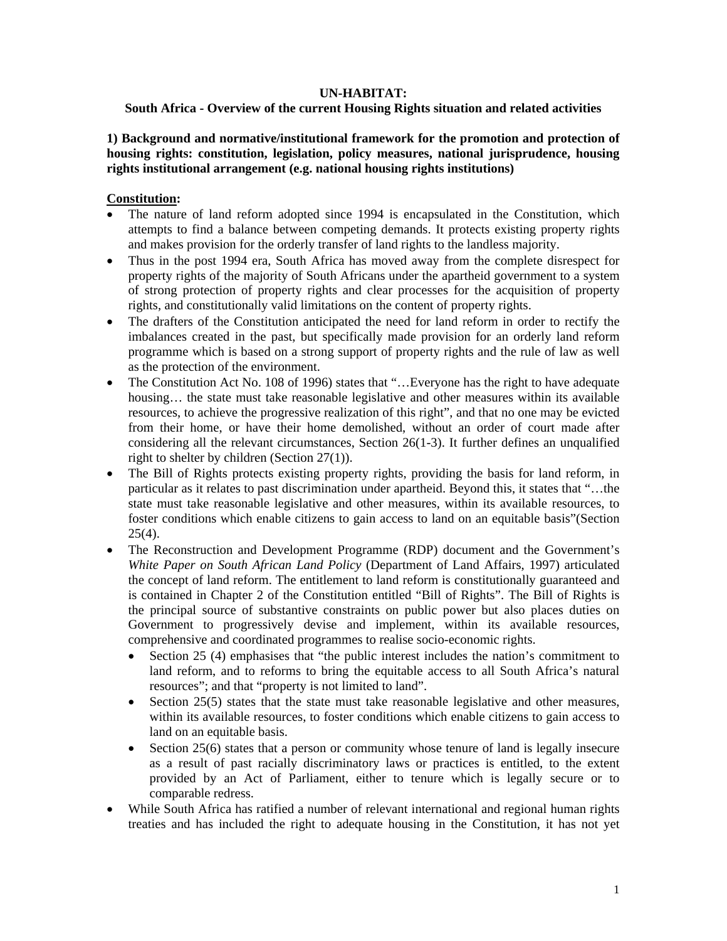### **UN-HABITAT:**

# **South Africa - Overview of the current Housing Rights situation and related activities**

# **1) Background and normative/institutional framework for the promotion and protection of housing rights: constitution, legislation, policy measures, national jurisprudence, housing rights institutional arrangement (e.g. national housing rights institutions)**

### **Constitution:**

- The nature of land reform adopted since 1994 is encapsulated in the Constitution, which attempts to find a balance between competing demands. It protects existing property rights and makes provision for the orderly transfer of land rights to the landless majority.
- Thus in the post 1994 era, South Africa has moved away from the complete disrespect for property rights of the majority of South Africans under the apartheid government to a system of strong protection of property rights and clear processes for the acquisition of property rights, and constitutionally valid limitations on the content of property rights.
- The drafters of the Constitution anticipated the need for land reform in order to rectify the imbalances created in the past, but specifically made provision for an orderly land reform programme which is based on a strong support of property rights and the rule of law as well as the protection of the environment.
- The Constitution Act No. 108 of 1996) states that "... Everyone has the right to have adequate housing... the state must take reasonable legislative and other measures within its available resources, to achieve the progressive realization of this right", and that no one may be evicted from their home, or have their home demolished, without an order of court made after considering all the relevant circumstances, Section 26(1-3). It further defines an unqualified right to shelter by children (Section 27(1)).
- The Bill of Rights protects existing property rights, providing the basis for land reform, in particular as it relates to past discrimination under apartheid. Beyond this, it states that "…the state must take reasonable legislative and other measures, within its available resources, to foster conditions which enable citizens to gain access to land on an equitable basis"(Section  $25(4)$ .
- The Reconstruction and Development Programme (RDP) document and the Government's *White Paper on South African Land Policy* (Department of Land Affairs, 1997) articulated the concept of land reform. The entitlement to land reform is constitutionally guaranteed and is contained in Chapter 2 of the Constitution entitled "Bill of Rights". The Bill of Rights is the principal source of substantive constraints on public power but also places duties on Government to progressively devise and implement, within its available resources, comprehensive and coordinated programmes to realise socio-economic rights.
	- Section 25 (4) emphasises that "the public interest includes the nation's commitment to land reform, and to reforms to bring the equitable access to all South Africa's natural resources"; and that "property is not limited to land".
	- Section 25(5) states that the state must take reasonable legislative and other measures, within its available resources, to foster conditions which enable citizens to gain access to land on an equitable basis.
	- Section 25(6) states that a person or community whose tenure of land is legally insecure as a result of past racially discriminatory laws or practices is entitled, to the extent provided by an Act of Parliament, either to tenure which is legally secure or to comparable redress.
- While South Africa has ratified a number of relevant international and regional human rights treaties and has included the right to adequate housing in the Constitution, it has not yet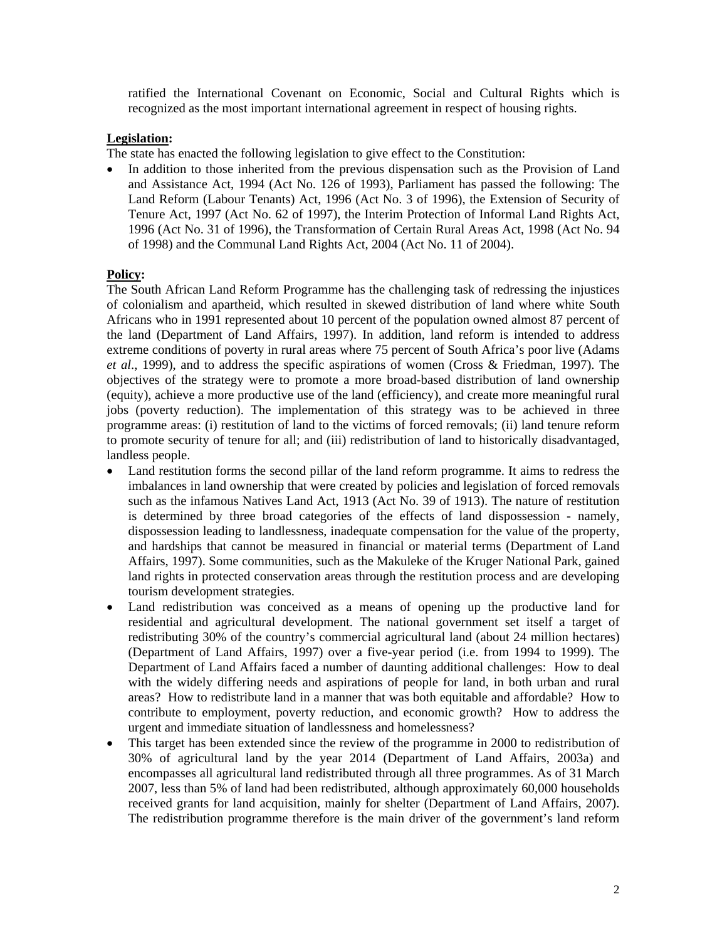ratified the International Covenant on Economic, Social and Cultural Rights which is recognized as the most important international agreement in respect of housing rights.

### **Legislation:**

The state has enacted the following legislation to give effect to the Constitution:

• In addition to those inherited from the previous dispensation such as the Provision of Land and Assistance Act, 1994 (Act No. 126 of 1993), Parliament has passed the following: The Land Reform (Labour Tenants) Act, 1996 (Act No. 3 of 1996), the Extension of Security of Tenure Act, 1997 (Act No. 62 of 1997), the Interim Protection of Informal Land Rights Act, 1996 (Act No. 31 of 1996), the Transformation of Certain Rural Areas Act, 1998 (Act No. 94 of 1998) and the Communal Land Rights Act, 2004 (Act No. 11 of 2004).

### **Policy:**

The South African Land Reform Programme has the challenging task of redressing the injustices of colonialism and apartheid, which resulted in skewed distribution of land where white South Africans who in 1991 represented about 10 percent of the population owned almost 87 percent of the land (Department of Land Affairs, 1997). In addition, land reform is intended to address extreme conditions of poverty in rural areas where 75 percent of South Africa's poor live (Adams *et al*., 1999), and to address the specific aspirations of women (Cross & Friedman, 1997). The objectives of the strategy were to promote a more broad-based distribution of land ownership (equity), achieve a more productive use of the land (efficiency), and create more meaningful rural jobs (poverty reduction). The implementation of this strategy was to be achieved in three programme areas: (i) restitution of land to the victims of forced removals; (ii) land tenure reform to promote security of tenure for all; and (iii) redistribution of land to historically disadvantaged, landless people.

- Land restitution forms the second pillar of the land reform programme. It aims to redress the imbalances in land ownership that were created by policies and legislation of forced removals such as the infamous Natives Land Act, 1913 (Act No. 39 of 1913). The nature of restitution is determined by three broad categories of the effects of land dispossession - namely, dispossession leading to landlessness, inadequate compensation for the value of the property, and hardships that cannot be measured in financial or material terms (Department of Land Affairs, 1997). Some communities, such as the Makuleke of the Kruger National Park, gained land rights in protected conservation areas through the restitution process and are developing tourism development strategies.
- Land redistribution was conceived as a means of opening up the productive land for residential and agricultural development. The national government set itself a target of redistributing 30% of the country's commercial agricultural land (about 24 million hectares) (Department of Land Affairs, 1997) over a five-year period (i.e. from 1994 to 1999). The Department of Land Affairs faced a number of daunting additional challenges: How to deal with the widely differing needs and aspirations of people for land, in both urban and rural areas? How to redistribute land in a manner that was both equitable and affordable? How to contribute to employment, poverty reduction, and economic growth? How to address the urgent and immediate situation of landlessness and homelessness?
- This target has been extended since the review of the programme in 2000 to redistribution of 30% of agricultural land by the year 2014 (Department of Land Affairs, 2003a) and encompasses all agricultural land redistributed through all three programmes. As of 31 March 2007, less than 5% of land had been redistributed, although approximately 60,000 households received grants for land acquisition, mainly for shelter (Department of Land Affairs, 2007). The redistribution programme therefore is the main driver of the government's land reform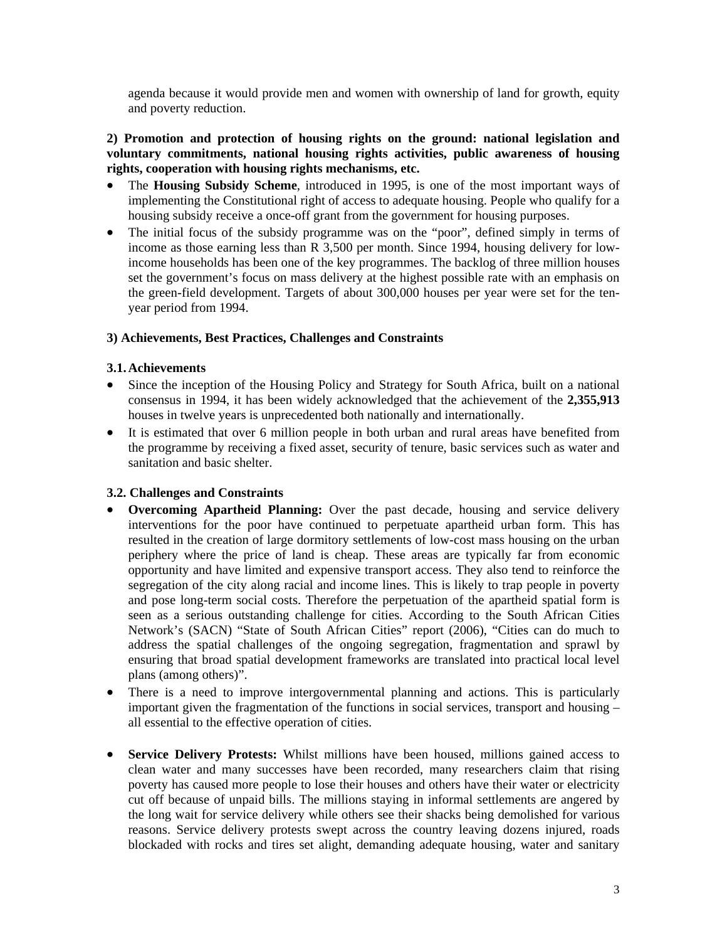agenda because it would provide men and women with ownership of land for growth, equity and poverty reduction.

# **2) Promotion and protection of housing rights on the ground: national legislation and voluntary commitments, national housing rights activities, public awareness of housing rights, cooperation with housing rights mechanisms, etc.**

- The **Housing Subsidy Scheme**, introduced in 1995, is one of the most important ways of implementing the Constitutional right of access to adequate housing. People who qualify for a housing subsidy receive a once-off grant from the government for housing purposes.
- The initial focus of the subsidy programme was on the "poor", defined simply in terms of income as those earning less than R 3,500 per month. Since 1994, housing delivery for lowincome households has been one of the key programmes. The backlog of three million houses set the government's focus on mass delivery at the highest possible rate with an emphasis on the green-field development. Targets of about 300,000 houses per year were set for the tenyear period from 1994.

### **3) Achievements, Best Practices, Challenges and Constraints**

#### **3.1.Achievements**

- Since the inception of the Housing Policy and Strategy for South Africa, built on a national consensus in 1994, it has been widely acknowledged that the achievement of the **2,355,913** houses in twelve years is unprecedented both nationally and internationally.
- It is estimated that over 6 million people in both urban and rural areas have benefited from the programme by receiving a fixed asset, security of tenure, basic services such as water and sanitation and basic shelter.

### **3.2. Challenges and Constraints**

- **Overcoming Apartheid Planning:** Over the past decade, housing and service delivery interventions for the poor have continued to perpetuate apartheid urban form. This has resulted in the creation of large dormitory settlements of low-cost mass housing on the urban periphery where the price of land is cheap. These areas are typically far from economic opportunity and have limited and expensive transport access. They also tend to reinforce the segregation of the city along racial and income lines. This is likely to trap people in poverty and pose long-term social costs. Therefore the perpetuation of the apartheid spatial form is seen as a serious outstanding challenge for cities. According to the South African Cities Network's (SACN) "State of South African Cities" report (2006), "Cities can do much to address the spatial challenges of the ongoing segregation, fragmentation and sprawl by ensuring that broad spatial development frameworks are translated into practical local level plans (among others)".
- There is a need to improve intergovernmental planning and actions. This is particularly important given the fragmentation of the functions in social services, transport and housing – all essential to the effective operation of cities.
- **Service Delivery Protests:** Whilst millions have been housed, millions gained access to clean water and many successes have been recorded, many researchers claim that rising poverty has caused more people to lose their houses and others have their water or electricity cut off because of unpaid bills. The millions staying in informal settlements are angered by the long wait for service delivery while others see their shacks being demolished for various reasons. Service delivery protests swept across the country leaving dozens injured, roads blockaded with rocks and tires set alight, demanding adequate housing, water and sanitary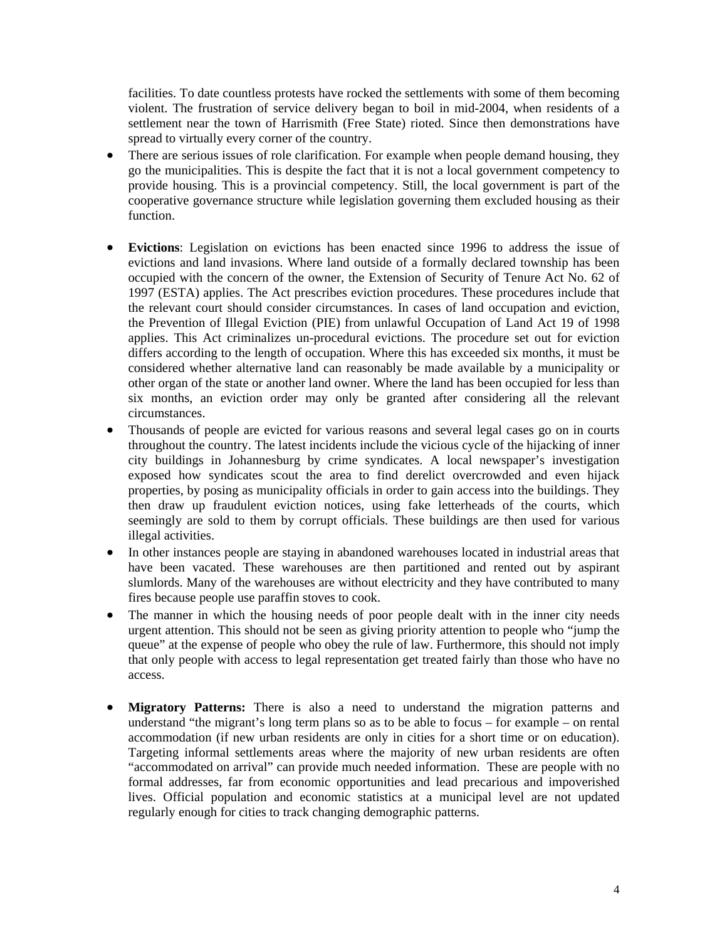facilities. To date countless protests have rocked the settlements with some of them becoming violent. The frustration of service delivery began to boil in mid-2004, when residents of a settlement near the town of Harrismith (Free State) rioted. Since then demonstrations have spread to virtually every corner of the country.

- There are serious issues of role clarification. For example when people demand housing, they go the municipalities. This is despite the fact that it is not a local government competency to provide housing. This is a provincial competency. Still, the local government is part of the cooperative governance structure while legislation governing them excluded housing as their function.
- **Evictions**: Legislation on evictions has been enacted since 1996 to address the issue of evictions and land invasions. Where land outside of a formally declared township has been occupied with the concern of the owner, the Extension of Security of Tenure Act No. 62 of 1997 (ESTA) applies. The Act prescribes eviction procedures. These procedures include that the relevant court should consider circumstances. In cases of land occupation and eviction, the Prevention of Illegal Eviction (PIE) from unlawful Occupation of Land Act 19 of 1998 applies. This Act criminalizes un-procedural evictions. The procedure set out for eviction differs according to the length of occupation. Where this has exceeded six months, it must be considered whether alternative land can reasonably be made available by a municipality or other organ of the state or another land owner. Where the land has been occupied for less than six months, an eviction order may only be granted after considering all the relevant circumstances.
- Thousands of people are evicted for various reasons and several legal cases go on in courts throughout the country. The latest incidents include the vicious cycle of the hijacking of inner city buildings in Johannesburg by crime syndicates. A local newspaper's investigation exposed how syndicates scout the area to find derelict overcrowded and even hijack properties, by posing as municipality officials in order to gain access into the buildings. They then draw up fraudulent eviction notices, using fake letterheads of the courts, which seemingly are sold to them by corrupt officials. These buildings are then used for various illegal activities.
- In other instances people are staying in abandoned warehouses located in industrial areas that have been vacated. These warehouses are then partitioned and rented out by aspirant slumlords. Many of the warehouses are without electricity and they have contributed to many fires because people use paraffin stoves to cook.
- The manner in which the housing needs of poor people dealt with in the inner city needs urgent attention. This should not be seen as giving priority attention to people who "jump the queue" at the expense of people who obey the rule of law. Furthermore, this should not imply that only people with access to legal representation get treated fairly than those who have no access.
- **Migratory Patterns:** There is also a need to understand the migration patterns and understand "the migrant's long term plans so as to be able to focus – for example – on rental accommodation (if new urban residents are only in cities for a short time or on education). Targeting informal settlements areas where the majority of new urban residents are often "accommodated on arrival" can provide much needed information. These are people with no formal addresses, far from economic opportunities and lead precarious and impoverished lives. Official population and economic statistics at a municipal level are not updated regularly enough for cities to track changing demographic patterns.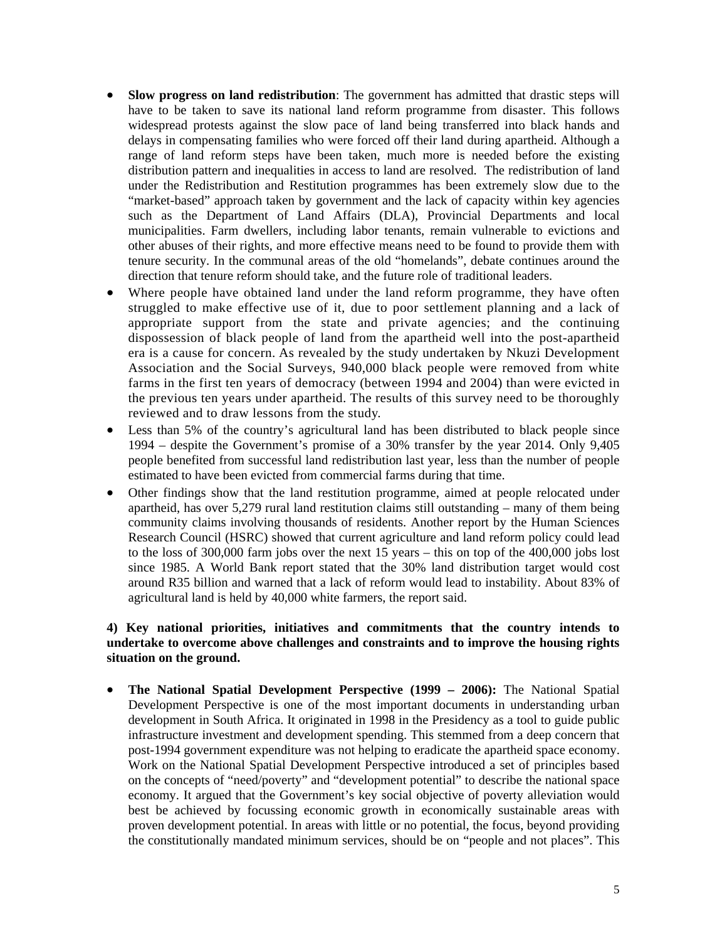- **Slow progress on land redistribution**: The government has admitted that drastic steps will have to be taken to save its national land reform programme from disaster. This follows widespread protests against the slow pace of land being transferred into black hands and delays in compensating families who were forced off their land during apartheid. Although a range of land reform steps have been taken, much more is needed before the existing distribution pattern and inequalities in access to land are resolved. The redistribution of land under the Redistribution and Restitution programmes has been extremely slow due to the "market-based" approach taken by government and the lack of capacity within key agencies such as the Department of Land Affairs (DLA), Provincial Departments and local municipalities. Farm dwellers, including labor tenants, remain vulnerable to evictions and other abuses of their rights, and more effective means need to be found to provide them with tenure security. In the communal areas of the old "homelands", debate continues around the direction that tenure reform should take, and the future role of traditional leaders.
- Where people have obtained land under the land reform programme, they have often struggled to make effective use of it, due to poor settlement planning and a lack of appropriate support from the state and private agencies; and the continuing dispossession of black people of land from the apartheid well into the post-apartheid era is a cause for concern. As revealed by the study undertaken by Nkuzi Development Association and the Social Surveys, 940,000 black people were removed from white farms in the first ten years of democracy (between 1994 and 2004) than were evicted in the previous ten years under apartheid. The results of this survey need to be thoroughly reviewed and to draw lessons from the study.
- Less than 5% of the country's agricultural land has been distributed to black people since 1994 – despite the Government's promise of a 30% transfer by the year 2014. Only 9,405 people benefited from successful land redistribution last year, less than the number of people estimated to have been evicted from commercial farms during that time.
- Other findings show that the land restitution programme, aimed at people relocated under apartheid, has over 5,279 rural land restitution claims still outstanding – many of them being community claims involving thousands of residents. Another report by the Human Sciences Research Council (HSRC) showed that current agriculture and land reform policy could lead to the loss of 300,000 farm jobs over the next 15 years – this on top of the 400,000 jobs lost since 1985. A World Bank report stated that the 30% land distribution target would cost around R35 billion and warned that a lack of reform would lead to instability. About 83% of agricultural land is held by 40,000 white farmers, the report said.

# **4) Key national priorities, initiatives and commitments that the country intends to undertake to overcome above challenges and constraints and to improve the housing rights situation on the ground.**

• **The National Spatial Development Perspective (1999 – 2006):** The National Spatial Development Perspective is one of the most important documents in understanding urban development in South Africa. It originated in 1998 in the Presidency as a tool to guide public infrastructure investment and development spending. This stemmed from a deep concern that post-1994 government expenditure was not helping to eradicate the apartheid space economy. Work on the National Spatial Development Perspective introduced a set of principles based on the concepts of "need/poverty" and "development potential" to describe the national space economy. It argued that the Government's key social objective of poverty alleviation would best be achieved by focussing economic growth in economically sustainable areas with proven development potential. In areas with little or no potential, the focus, beyond providing the constitutionally mandated minimum services, should be on "people and not places". This